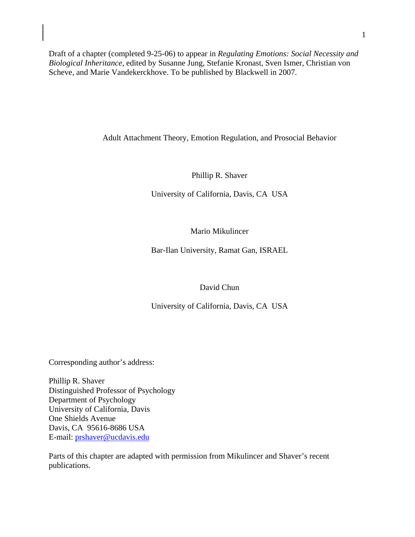Draft of a chapter (completed 9-25-06) to appear in *Regulating Emotions: Social Necessity and Biological Inheritance*, edited by Susanne Jung, Stefanie Kronast, Sven Ismer, Christian von Scheve, and Marie Vandekerckhove. To be published by Blackwell in 2007.

Adult Attachment Theory, Emotion Regulation, and Prosocial Behavior

Phillip R. Shaver

University of California, Davis, CA USA

Mario Mikulincer

Bar-Ilan University, Ramat Gan, ISRAEL

David Chun

University of California, Davis, CA USA

Corresponding author's address:

Phillip R. Shaver Distinguished Professor of Psychology Department of Psychology University of California, Davis One Shields Avenue Davis, CA 95616-8686 USA E-mail: [prshaver@ucdavis.edu](mailto:prshaver@ucdavis.edu)

Parts of this chapter are adapted with permission from Mikulincer and Shaver's recent publications.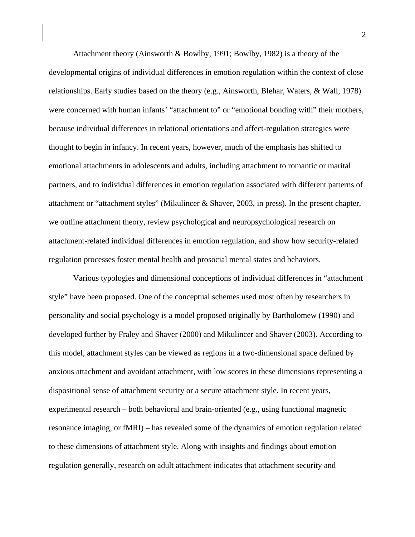Attachment theory (Ainsworth & Bowlby, 1991; Bowlby, 1982) is a theory of the developmental origins of individual differences in emotion regulation within the context of close relationships. Early studies based on the theory (e.g., Ainsworth, Blehar, Waters, & Wall, 1978) were concerned with human infants' "attachment to" or "emotional bonding with" their mothers, because individual differences in relational orientations and affect-regulation strategies were thought to begin in infancy. In recent years, however, much of the emphasis has shifted to emotional attachments in adolescents and adults, including attachment to romantic or marital partners, and to individual differences in emotion regulation associated with different patterns of attachment or "attachment styles" (Mikulincer & Shaver, 2003, in press). In the present chapter, we outline attachment theory, review psychological and neuropsychological research on attachment-related individual differences in emotion regulation, and show how security-related regulation processes foster mental health and prosocial mental states and behaviors.

Various typologies and dimensional conceptions of individual differences in "attachment style" have been proposed. One of the conceptual schemes used most often by researchers in personality and social psychology is a model proposed originally by Bartholomew (1990) and developed further by Fraley and Shaver (2000) and Mikulincer and Shaver (2003). According to this model, attachment styles can be viewed as regions in a two-dimensional space defined by anxious attachment and avoidant attachment, with low scores in these dimensions representing a dispositional sense of attachment security or a secure attachment style. In recent years, experimental research – both behavioral and brain-oriented (e.g., using functional magnetic resonance imaging, or fMRI) – has revealed some of the dynamics of emotion regulation related to these dimensions of attachment style. Along with insights and findings about emotion regulation generally, research on adult attachment indicates that attachment security and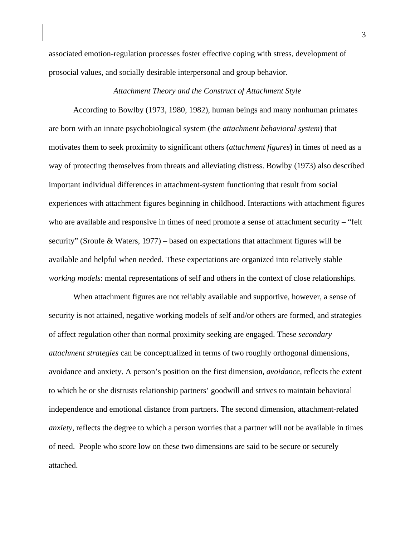associated emotion-regulation processes foster effective coping with stress, development of prosocial values, and socially desirable interpersonal and group behavior.

# *Attachment Theory and the Construct of Attachment Style*

According to Bowlby (1973, 1980, 1982), human beings and many nonhuman primates are born with an innate psychobiological system (the *attachment behavioral system*) that motivates them to seek proximity to significant others (*attachment figures*) in times of need as a way of protecting themselves from threats and alleviating distress. Bowlby (1973) also described important individual differences in attachment-system functioning that result from social experiences with attachment figures beginning in childhood. Interactions with attachment figures who are available and responsive in times of need promote a sense of attachment security – "felt security" (Sroufe & Waters, 1977) – based on expectations that attachment figures will be available and helpful when needed. These expectations are organized into relatively stable *working models*: mental representations of self and others in the context of close relationships.

When attachment figures are not reliably available and supportive, however, a sense of security is not attained, negative working models of self and/or others are formed, and strategies of affect regulation other than normal proximity seeking are engaged. These *secondary attachment strategies* can be conceptualized in terms of two roughly orthogonal dimensions, avoidance and anxiety. A person's position on the first dimension, *avoidance*, reflects the extent to which he or she distrusts relationship partners' goodwill and strives to maintain behavioral independence and emotional distance from partners. The second dimension, attachment-related *anxiety*, reflects the degree to which a person worries that a partner will not be available in times of need. People who score low on these two dimensions are said to be secure or securely attached.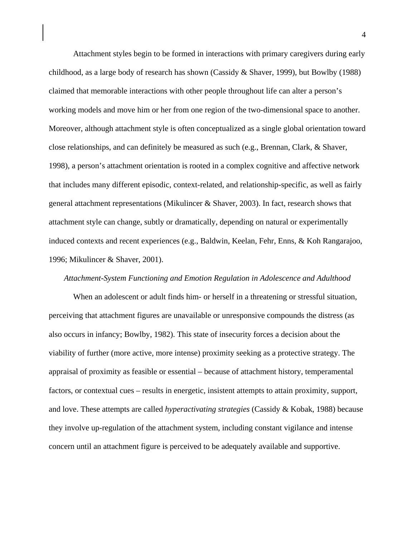Attachment styles begin to be formed in interactions with primary caregivers during early childhood, as a large body of research has shown (Cassidy & Shaver, 1999), but Bowlby (1988) claimed that memorable interactions with other people throughout life can alter a person's working models and move him or her from one region of the two-dimensional space to another. Moreover, although attachment style is often conceptualized as a single global orientation toward close relationships, and can definitely be measured as such (e.g., Brennan, Clark, & Shaver, 1998), a person's attachment orientation is rooted in a complex cognitive and affective network that includes many different episodic, context-related, and relationship-specific, as well as fairly general attachment representations (Mikulincer & Shaver, 2003). In fact, research shows that attachment style can change, subtly or dramatically, depending on natural or experimentally induced contexts and recent experiences (e.g., Baldwin, Keelan, Fehr, Enns, & Koh Rangarajoo, 1996; Mikulincer & Shaver, 2001).

# *Attachment-System Functioning and Emotion Regulation in Adolescence and Adulthood*

When an adolescent or adult finds him- or herself in a threatening or stressful situation, perceiving that attachment figures are unavailable or unresponsive compounds the distress (as also occurs in infancy; Bowlby, 1982). This state of insecurity forces a decision about the viability of further (more active, more intense) proximity seeking as a protective strategy. The appraisal of proximity as feasible or essential – because of attachment history, temperamental factors, or contextual cues – results in energetic, insistent attempts to attain proximity, support, and love. These attempts are called *hyperactivating strategies* (Cassidy & Kobak, 1988) because they involve up-regulation of the attachment system, including constant vigilance and intense concern until an attachment figure is perceived to be adequately available and supportive.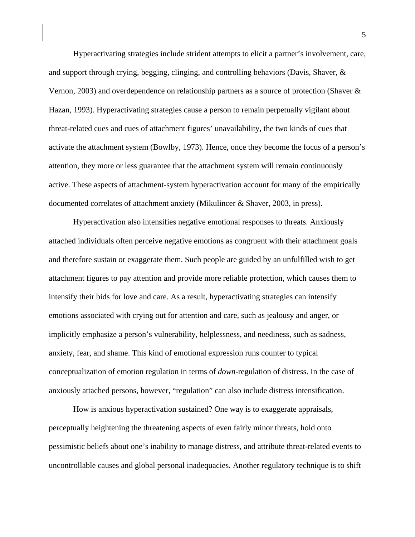Hyperactivating strategies include strident attempts to elicit a partner's involvement, care, and support through crying, begging, clinging, and controlling behaviors (Davis, Shaver, & Vernon, 2003) and overdependence on relationship partners as a source of protection (Shaver & Hazan, 1993). Hyperactivating strategies cause a person to remain perpetually vigilant about threat-related cues and cues of attachment figures' unavailability, the two kinds of cues that activate the attachment system (Bowlby, 1973). Hence, once they become the focus of a person's attention, they more or less guarantee that the attachment system will remain continuously active. These aspects of attachment-system hyperactivation account for many of the empirically documented correlates of attachment anxiety (Mikulincer & Shaver, 2003, in press).

Hyperactivation also intensifies negative emotional responses to threats. Anxiously attached individuals often perceive negative emotions as congruent with their attachment goals and therefore sustain or exaggerate them. Such people are guided by an unfulfilled wish to get attachment figures to pay attention and provide more reliable protection, which causes them to intensify their bids for love and care. As a result, hyperactivating strategies can intensify emotions associated with crying out for attention and care, such as jealousy and anger, or implicitly emphasize a person's vulnerability, helplessness, and neediness, such as sadness, anxiety, fear, and shame. This kind of emotional expression runs counter to typical conceptualization of emotion regulation in terms of *down*-regulation of distress. In the case of anxiously attached persons, however, "regulation" can also include distress intensification.

How is anxious hyperactivation sustained? One way is to exaggerate appraisals, perceptually heightening the threatening aspects of even fairly minor threats, hold onto pessimistic beliefs about one's inability to manage distress, and attribute threat-related events to uncontrollable causes and global personal inadequacies. Another regulatory technique is to shift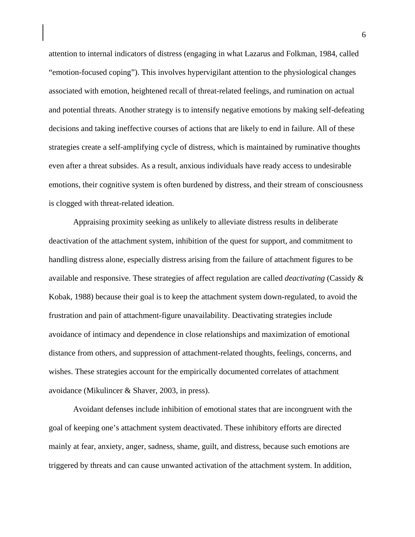attention to internal indicators of distress (engaging in what Lazarus and Folkman, 1984, called "emotion-focused coping"). This involves hypervigilant attention to the physiological changes associated with emotion, heightened recall of threat-related feelings, and rumination on actual and potential threats. Another strategy is to intensify negative emotions by making self-defeating decisions and taking ineffective courses of actions that are likely to end in failure. All of these strategies create a self-amplifying cycle of distress, which is maintained by ruminative thoughts even after a threat subsides. As a result, anxious individuals have ready access to undesirable emotions, their cognitive system is often burdened by distress, and their stream of consciousness is clogged with threat-related ideation.

Appraising proximity seeking as unlikely to alleviate distress results in deliberate deactivation of the attachment system, inhibition of the quest for support, and commitment to handling distress alone, especially distress arising from the failure of attachment figures to be available and responsive. These strategies of affect regulation are called *deactivating* (Cassidy & Kobak, 1988) because their goal is to keep the attachment system down-regulated, to avoid the frustration and pain of attachment-figure unavailability. Deactivating strategies include avoidance of intimacy and dependence in close relationships and maximization of emotional distance from others, and suppression of attachment-related thoughts, feelings, concerns, and wishes. These strategies account for the empirically documented correlates of attachment avoidance (Mikulincer & Shaver, 2003, in press).

Avoidant defenses include inhibition of emotional states that are incongruent with the goal of keeping one's attachment system deactivated. These inhibitory efforts are directed mainly at fear, anxiety, anger, sadness, shame, guilt, and distress, because such emotions are triggered by threats and can cause unwanted activation of the attachment system. In addition,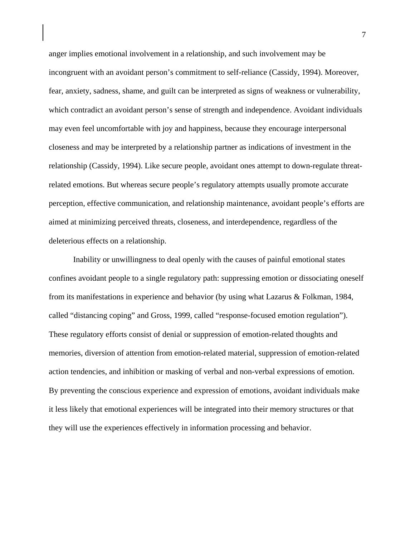anger implies emotional involvement in a relationship, and such involvement may be incongruent with an avoidant person's commitment to self-reliance (Cassidy, 1994). Moreover, fear, anxiety, sadness, shame, and guilt can be interpreted as signs of weakness or vulnerability, which contradict an avoidant person's sense of strength and independence. Avoidant individuals may even feel uncomfortable with joy and happiness, because they encourage interpersonal closeness and may be interpreted by a relationship partner as indications of investment in the relationship (Cassidy, 1994). Like secure people, avoidant ones attempt to down-regulate threatrelated emotions. But whereas secure people's regulatory attempts usually promote accurate perception, effective communication, and relationship maintenance, avoidant people's efforts are aimed at minimizing perceived threats, closeness, and interdependence, regardless of the deleterious effects on a relationship.

Inability or unwillingness to deal openly with the causes of painful emotional states confines avoidant people to a single regulatory path: suppressing emotion or dissociating oneself from its manifestations in experience and behavior (by using what Lazarus & Folkman, 1984, called "distancing coping" and Gross, 1999, called "response-focused emotion regulation"). These regulatory efforts consist of denial or suppression of emotion-related thoughts and memories, diversion of attention from emotion-related material, suppression of emotion-related action tendencies, and inhibition or masking of verbal and non-verbal expressions of emotion. By preventing the conscious experience and expression of emotions, avoidant individuals make it less likely that emotional experiences will be integrated into their memory structures or that they will use the experiences effectively in information processing and behavior.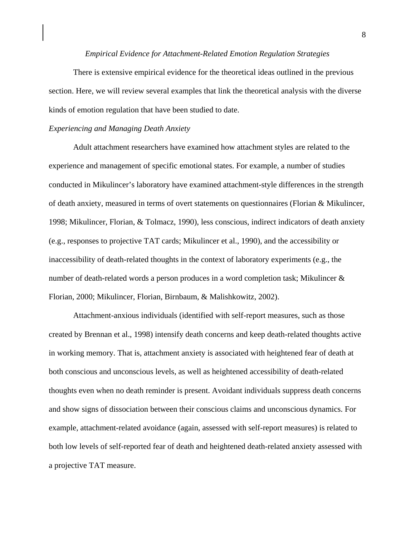#### *Empirical Evidence for Attachment-Related Emotion Regulation Strategies*

 There is extensive empirical evidence for the theoretical ideas outlined in the previous section. Here, we will review several examples that link the theoretical analysis with the diverse kinds of emotion regulation that have been studied to date.

## *Experiencing and Managing Death Anxiety*

Adult attachment researchers have examined how attachment styles are related to the experience and management of specific emotional states. For example, a number of studies conducted in Mikulincer's laboratory have examined attachment-style differences in the strength of death anxiety, measured in terms of overt statements on questionnaires (Florian & Mikulincer, 1998; Mikulincer, Florian, & Tolmacz, 1990), less conscious, indirect indicators of death anxiety (e.g., responses to projective TAT cards; Mikulincer et al., 1990), and the accessibility or inaccessibility of death-related thoughts in the context of laboratory experiments (e.g., the number of death-related words a person produces in a word completion task; Mikulincer & Florian, 2000; Mikulincer, Florian, Birnbaum, & Malishkowitz, 2002).

Attachment-anxious individuals (identified with self-report measures, such as those created by Brennan et al., 1998) intensify death concerns and keep death-related thoughts active in working memory. That is, attachment anxiety is associated with heightened fear of death at both conscious and unconscious levels, as well as heightened accessibility of death-related thoughts even when no death reminder is present. Avoidant individuals suppress death concerns and show signs of dissociation between their conscious claims and unconscious dynamics. For example, attachment-related avoidance (again, assessed with self-report measures) is related to both low levels of self-reported fear of death and heightened death-related anxiety assessed with a projective TAT measure.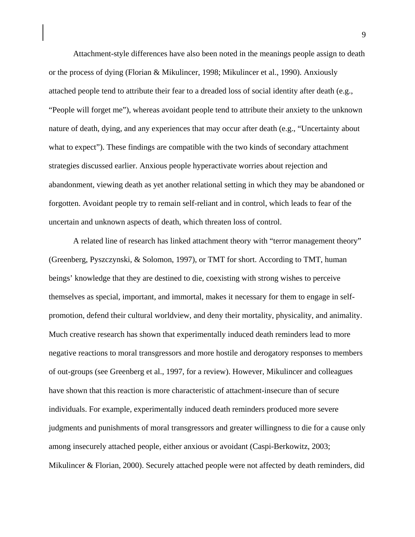Attachment-style differences have also been noted in the meanings people assign to death or the process of dying (Florian & Mikulincer, 1998; Mikulincer et al., 1990). Anxiously attached people tend to attribute their fear to a dreaded loss of social identity after death (e.g., "People will forget me"), whereas avoidant people tend to attribute their anxiety to the unknown nature of death, dying, and any experiences that may occur after death (e.g., "Uncertainty about what to expect"). These findings are compatible with the two kinds of secondary attachment strategies discussed earlier. Anxious people hyperactivate worries about rejection and abandonment, viewing death as yet another relational setting in which they may be abandoned or forgotten. Avoidant people try to remain self-reliant and in control, which leads to fear of the uncertain and unknown aspects of death, which threaten loss of control.

A related line of research has linked attachment theory with "terror management theory" (Greenberg, Pyszczynski, & Solomon, 1997), or TMT for short. According to TMT, human beings' knowledge that they are destined to die, coexisting with strong wishes to perceive themselves as special, important, and immortal, makes it necessary for them to engage in selfpromotion, defend their cultural worldview, and deny their mortality, physicality, and animality. Much creative research has shown that experimentally induced death reminders lead to more negative reactions to moral transgressors and more hostile and derogatory responses to members of out-groups (see Greenberg et al., 1997, for a review). However, Mikulincer and colleagues have shown that this reaction is more characteristic of attachment-insecure than of secure individuals. For example, experimentally induced death reminders produced more severe judgments and punishments of moral transgressors and greater willingness to die for a cause only among insecurely attached people, either anxious or avoidant (Caspi-Berkowitz, 2003; Mikulincer & Florian, 2000). Securely attached people were not affected by death reminders, did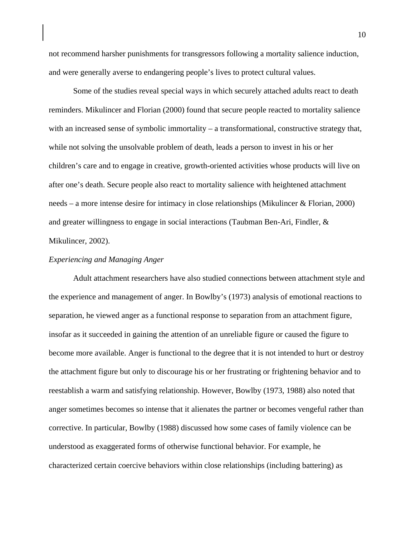not recommend harsher punishments for transgressors following a mortality salience induction, and were generally averse to endangering people's lives to protect cultural values.

Some of the studies reveal special ways in which securely attached adults react to death reminders. Mikulincer and Florian (2000) found that secure people reacted to mortality salience with an increased sense of symbolic immortality – a transformational, constructive strategy that, while not solving the unsolvable problem of death, leads a person to invest in his or her children's care and to engage in creative, growth-oriented activities whose products will live on after one's death. Secure people also react to mortality salience with heightened attachment needs – a more intense desire for intimacy in close relationships (Mikulincer & Florian, 2000) and greater willingness to engage in social interactions (Taubman Ben-Ari, Findler, & Mikulincer, 2002).

## *Experiencing and Managing Anger*

Adult attachment researchers have also studied connections between attachment style and the experience and management of anger. In Bowlby's (1973) analysis of emotional reactions to separation, he viewed anger as a functional response to separation from an attachment figure, insofar as it succeeded in gaining the attention of an unreliable figure or caused the figure to become more available. Anger is functional to the degree that it is not intended to hurt or destroy the attachment figure but only to discourage his or her frustrating or frightening behavior and to reestablish a warm and satisfying relationship. However, Bowlby (1973, 1988) also noted that anger sometimes becomes so intense that it alienates the partner or becomes vengeful rather than corrective. In particular, Bowlby (1988) discussed how some cases of family violence can be understood as exaggerated forms of otherwise functional behavior. For example, he characterized certain coercive behaviors within close relationships (including battering) as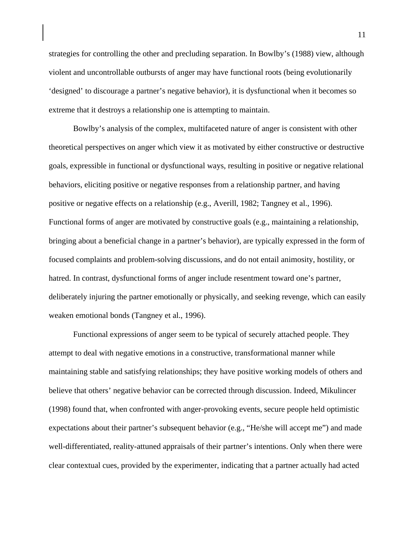strategies for controlling the other and precluding separation. In Bowlby's (1988) view, although violent and uncontrollable outbursts of anger may have functional roots (being evolutionarily 'designed' to discourage a partner's negative behavior), it is dysfunctional when it becomes so extreme that it destroys a relationship one is attempting to maintain.

Bowlby's analysis of the complex, multifaceted nature of anger is consistent with other theoretical perspectives on anger which view it as motivated by either constructive or destructive goals, expressible in functional or dysfunctional ways, resulting in positive or negative relational behaviors, eliciting positive or negative responses from a relationship partner, and having positive or negative effects on a relationship (e.g., Averill, 1982; Tangney et al., 1996). Functional forms of anger are motivated by constructive goals (e.g., maintaining a relationship, bringing about a beneficial change in a partner's behavior), are typically expressed in the form of focused complaints and problem-solving discussions, and do not entail animosity, hostility, or hatred. In contrast, dysfunctional forms of anger include resentment toward one's partner, deliberately injuring the partner emotionally or physically, and seeking revenge, which can easily weaken emotional bonds (Tangney et al., 1996).

Functional expressions of anger seem to be typical of securely attached people. They attempt to deal with negative emotions in a constructive, transformational manner while maintaining stable and satisfying relationships; they have positive working models of others and believe that others' negative behavior can be corrected through discussion. Indeed, Mikulincer (1998) found that, when confronted with anger-provoking events, secure people held optimistic expectations about their partner's subsequent behavior (e.g., "He/she will accept me") and made well-differentiated, reality-attuned appraisals of their partner's intentions. Only when there were clear contextual cues, provided by the experimenter, indicating that a partner actually had acted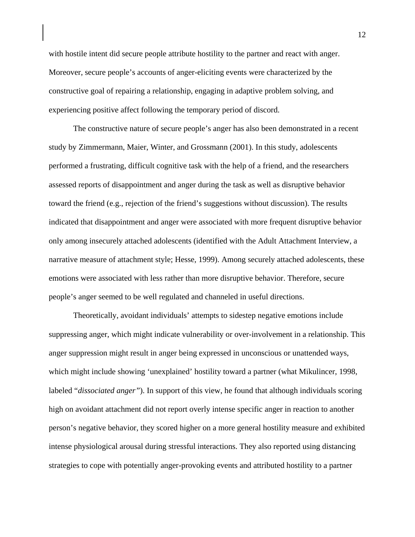with hostile intent did secure people attribute hostility to the partner and react with anger. Moreover, secure people's accounts of anger-eliciting events were characterized by the constructive goal of repairing a relationship, engaging in adaptive problem solving, and experiencing positive affect following the temporary period of discord.

The constructive nature of secure people's anger has also been demonstrated in a recent study by Zimmermann, Maier, Winter, and Grossmann (2001). In this study, adolescents performed a frustrating, difficult cognitive task with the help of a friend, and the researchers assessed reports of disappointment and anger during the task as well as disruptive behavior toward the friend (e.g., rejection of the friend's suggestions without discussion). The results indicated that disappointment and anger were associated with more frequent disruptive behavior only among insecurely attached adolescents (identified with the Adult Attachment Interview, a narrative measure of attachment style; Hesse, 1999). Among securely attached adolescents, these emotions were associated with less rather than more disruptive behavior. Therefore, secure people's anger seemed to be well regulated and channeled in useful directions.

Theoretically, avoidant individuals' attempts to sidestep negative emotions include suppressing anger, which might indicate vulnerability or over-involvement in a relationship. This anger suppression might result in anger being expressed in unconscious or unattended ways, which might include showing 'unexplained' hostility toward a partner (what Mikulincer, 1998, labeled "*dissociated anger"*). In support of this view, he found that although individuals scoring high on avoidant attachment did not report overly intense specific anger in reaction to another person's negative behavior, they scored higher on a more general hostility measure and exhibited intense physiological arousal during stressful interactions. They also reported using distancing strategies to cope with potentially anger-provoking events and attributed hostility to a partner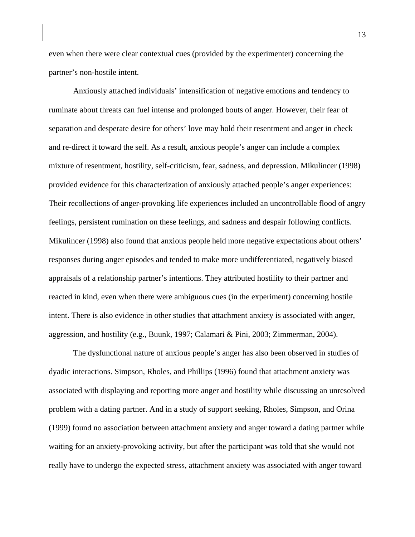even when there were clear contextual cues (provided by the experimenter) concerning the partner's non-hostile intent.

Anxiously attached individuals' intensification of negative emotions and tendency to ruminate about threats can fuel intense and prolonged bouts of anger. However, their fear of separation and desperate desire for others' love may hold their resentment and anger in check and re-direct it toward the self. As a result, anxious people's anger can include a complex mixture of resentment, hostility, self-criticism, fear, sadness, and depression. Mikulincer (1998) provided evidence for this characterization of anxiously attached people's anger experiences: Their recollections of anger-provoking life experiences included an uncontrollable flood of angry feelings, persistent rumination on these feelings, and sadness and despair following conflicts. Mikulincer (1998) also found that anxious people held more negative expectations about others' responses during anger episodes and tended to make more undifferentiated, negatively biased appraisals of a relationship partner's intentions. They attributed hostility to their partner and reacted in kind, even when there were ambiguous cues (in the experiment) concerning hostile intent. There is also evidence in other studies that attachment anxiety is associated with anger, aggression, and hostility (e.g., Buunk, 1997; Calamari & Pini, 2003; Zimmerman, 2004).

The dysfunctional nature of anxious people's anger has also been observed in studies of dyadic interactions. Simpson, Rholes, and Phillips (1996) found that attachment anxiety was associated with displaying and reporting more anger and hostility while discussing an unresolved problem with a dating partner. And in a study of support seeking, Rholes, Simpson, and Orina (1999) found no association between attachment anxiety and anger toward a dating partner while waiting for an anxiety-provoking activity, but after the participant was told that she would not really have to undergo the expected stress, attachment anxiety was associated with anger toward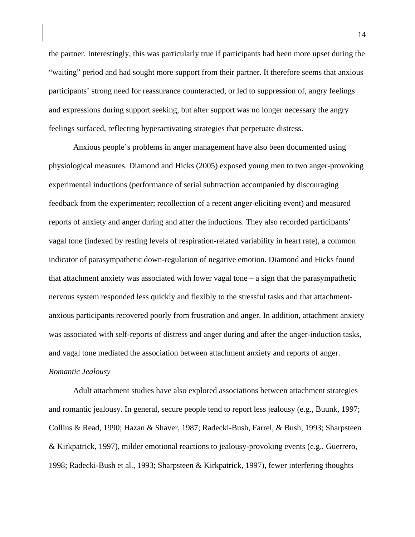the partner. Interestingly, this was particularly true if participants had been more upset during the "waiting" period and had sought more support from their partner. It therefore seems that anxious participants' strong need for reassurance counteracted, or led to suppression of, angry feelings and expressions during support seeking, but after support was no longer necessary the angry feelings surfaced, reflecting hyperactivating strategies that perpetuate distress.

Anxious people's problems in anger management have also been documented using physiological measures. Diamond and Hicks (2005) exposed young men to two anger-provoking experimental inductions (performance of serial subtraction accompanied by discouraging feedback from the experimenter; recollection of a recent anger-eliciting event) and measured reports of anxiety and anger during and after the inductions. They also recorded participants' vagal tone (indexed by resting levels of respiration-related variability in heart rate), a common indicator of parasympathetic down-regulation of negative emotion. Diamond and Hicks found that attachment anxiety was associated with lower vagal tone – a sign that the parasympathetic nervous system responded less quickly and flexibly to the stressful tasks and that attachmentanxious participants recovered poorly from frustration and anger. In addition, attachment anxiety was associated with self-reports of distress and anger during and after the anger-induction tasks, and vagal tone mediated the association between attachment anxiety and reports of anger. *Romantic Jealousy* 

Adult attachment studies have also explored associations between attachment strategies and romantic jealousy. In general, secure people tend to report less jealousy (e.g., Buunk, 1997; Collins & Read, 1990; Hazan & Shaver, 1987; Radecki-Bush, Farrel, & Bush, 1993; Sharpsteen & Kirkpatrick, 1997), milder emotional reactions to jealousy-provoking events (e.g., Guerrero, 1998; Radecki-Bush et al., 1993; Sharpsteen & Kirkpatrick, 1997), fewer interfering thoughts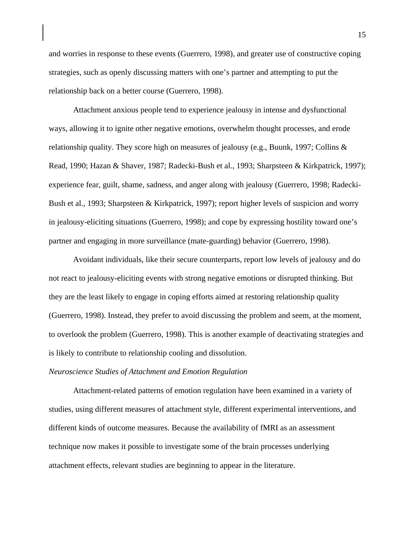and worries in response to these events (Guerrero, 1998), and greater use of constructive coping strategies, such as openly discussing matters with one's partner and attempting to put the relationship back on a better course (Guerrero, 1998).

Attachment anxious people tend to experience jealousy in intense and dysfunctional ways, allowing it to ignite other negative emotions, overwhelm thought processes, and erode relationship quality. They score high on measures of jealousy (e.g., Buunk, 1997; Collins & Read, 1990; Hazan & Shaver, 1987; Radecki-Bush et al., 1993; Sharpsteen & Kirkpatrick, 1997); experience fear, guilt, shame, sadness, and anger along with jealousy (Guerrero, 1998; Radecki-Bush et al., 1993; Sharpsteen & Kirkpatrick, 1997); report higher levels of suspicion and worry in jealousy-eliciting situations (Guerrero, 1998); and cope by expressing hostility toward one's partner and engaging in more surveillance (mate-guarding) behavior (Guerrero, 1998).

Avoidant individuals, like their secure counterparts, report low levels of jealousy and do not react to jealousy-eliciting events with strong negative emotions or disrupted thinking. But they are the least likely to engage in coping efforts aimed at restoring relationship quality (Guerrero, 1998). Instead, they prefer to avoid discussing the problem and seem, at the moment, to overlook the problem (Guerrero, 1998). This is another example of deactivating strategies and is likely to contribute to relationship cooling and dissolution.

## *Neuroscience Studies of Attachment and Emotion Regulation*

Attachment-related patterns of emotion regulation have been examined in a variety of studies, using different measures of attachment style, different experimental interventions, and different kinds of outcome measures. Because the availability of fMRI as an assessment technique now makes it possible to investigate some of the brain processes underlying attachment effects, relevant studies are beginning to appear in the literature.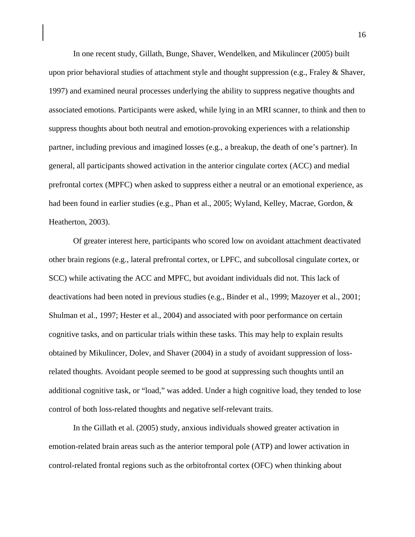In one recent study, Gillath, Bunge, Shaver, Wendelken, and Mikulincer (2005) built upon prior behavioral studies of attachment style and thought suppression (e.g., Fraley & Shaver, 1997) and examined neural processes underlying the ability to suppress negative thoughts and associated emotions. Participants were asked, while lying in an MRI scanner, to think and then to suppress thoughts about both neutral and emotion-provoking experiences with a relationship partner, including previous and imagined losses (e.g., a breakup, the death of one's partner). In general, all participants showed activation in the anterior cingulate cortex (ACC) and medial prefrontal cortex (MPFC) when asked to suppress either a neutral or an emotional experience, as had been found in earlier studies (e.g., Phan et al., 2005; Wyland, Kelley, Macrae, Gordon, & Heatherton, 2003).

Of greater interest here, participants who scored low on avoidant attachment deactivated other brain regions (e.g., lateral prefrontal cortex, or LPFC, and subcollosal cingulate cortex, or SCC) while activating the ACC and MPFC, but avoidant individuals did not. This lack of deactivations had been noted in previous studies (e.g., Binder et al., 1999; Mazoyer et al., 2001; Shulman et al., 1997; Hester et al., 2004) and associated with poor performance on certain cognitive tasks, and on particular trials within these tasks. This may help to explain results obtained by Mikulincer, Dolev, and Shaver (2004) in a study of avoidant suppression of lossrelated thoughts. Avoidant people seemed to be good at suppressing such thoughts until an additional cognitive task, or "load," was added. Under a high cognitive load, they tended to lose control of both loss-related thoughts and negative self-relevant traits.

In the Gillath et al. (2005) study, anxious individuals showed greater activation in emotion-related brain areas such as the anterior temporal pole (ATP) and lower activation in control-related frontal regions such as the orbitofrontal cortex (OFC) when thinking about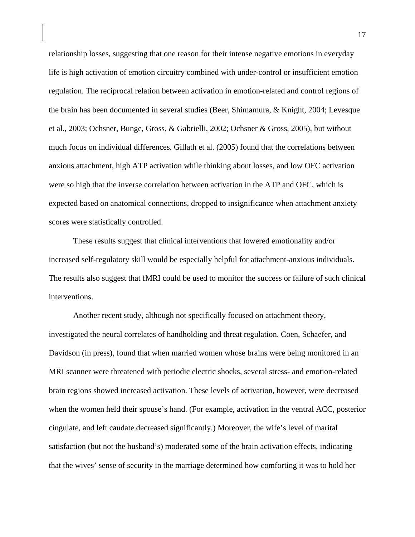relationship losses, suggesting that one reason for their intense negative emotions in everyday life is high activation of emotion circuitry combined with under-control or insufficient emotion regulation. The reciprocal relation between activation in emotion-related and control regions of the brain has been documented in several studies (Beer, Shimamura, & Knight, 2004; Levesque et al., 2003; Ochsner, Bunge, Gross, & Gabrielli, 2002; Ochsner & Gross, 2005), but without much focus on individual differences. Gillath et al. (2005) found that the correlations between anxious attachment, high ATP activation while thinking about losses, and low OFC activation were so high that the inverse correlation between activation in the ATP and OFC, which is expected based on anatomical connections, dropped to insignificance when attachment anxiety scores were statistically controlled.

These results suggest that clinical interventions that lowered emotionality and/or increased self-regulatory skill would be especially helpful for attachment-anxious individuals. The results also suggest that fMRI could be used to monitor the success or failure of such clinical interventions.

Another recent study, although not specifically focused on attachment theory, investigated the neural correlates of handholding and threat regulation. Coen, Schaefer, and Davidson (in press), found that when married women whose brains were being monitored in an MRI scanner were threatened with periodic electric shocks, several stress- and emotion-related brain regions showed increased activation. These levels of activation, however, were decreased when the women held their spouse's hand. (For example, activation in the ventral ACC, posterior cingulate, and left caudate decreased significantly.) Moreover, the wife's level of marital satisfaction (but not the husband's) moderated some of the brain activation effects, indicating that the wives' sense of security in the marriage determined how comforting it was to hold her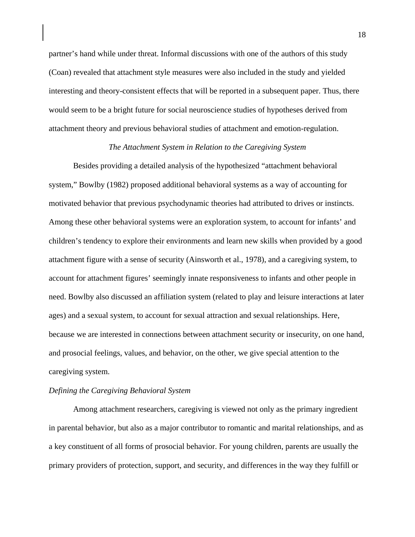partner's hand while under threat. Informal discussions with one of the authors of this study (Coan) revealed that attachment style measures were also included in the study and yielded interesting and theory-consistent effects that will be reported in a subsequent paper. Thus, there would seem to be a bright future for social neuroscience studies of hypotheses derived from attachment theory and previous behavioral studies of attachment and emotion-regulation.

# *The Attachment System in Relation to the Caregiving System*

 Besides providing a detailed analysis of the hypothesized "attachment behavioral system," Bowlby (1982) proposed additional behavioral systems as a way of accounting for motivated behavior that previous psychodynamic theories had attributed to drives or instincts. Among these other behavioral systems were an exploration system, to account for infants' and children's tendency to explore their environments and learn new skills when provided by a good attachment figure with a sense of security (Ainsworth et al., 1978), and a caregiving system, to account for attachment figures' seemingly innate responsiveness to infants and other people in need. Bowlby also discussed an affiliation system (related to play and leisure interactions at later ages) and a sexual system, to account for sexual attraction and sexual relationships. Here, because we are interested in connections between attachment security or insecurity, on one hand, and prosocial feelings, values, and behavior, on the other, we give special attention to the caregiving system.

#### *Defining the Caregiving Behavioral System*

Among attachment researchers, caregiving is viewed not only as the primary ingredient in parental behavior, but also as a major contributor to romantic and marital relationships, and as a key constituent of all forms of prosocial behavior. For young children, parents are usually the primary providers of protection, support, and security, and differences in the way they fulfill or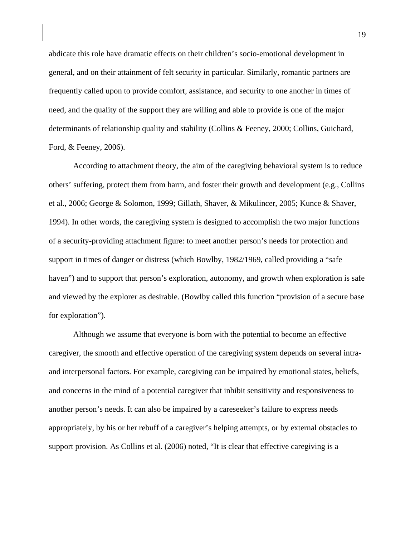abdicate this role have dramatic effects on their children's socio-emotional development in general, and on their attainment of felt security in particular. Similarly, romantic partners are frequently called upon to provide comfort, assistance, and security to one another in times of need, and the quality of the support they are willing and able to provide is one of the major determinants of relationship quality and stability (Collins & Feeney, 2000; Collins, Guichard, Ford, & Feeney, 2006).

According to attachment theory, the aim of the caregiving behavioral system is to reduce others' suffering, protect them from harm, and foster their growth and development (e.g., Collins et al., 2006; George & Solomon, 1999; Gillath, Shaver, & Mikulincer, 2005; Kunce & Shaver, 1994). In other words, the caregiving system is designed to accomplish the two major functions of a security-providing attachment figure: to meet another person's needs for protection and support in times of danger or distress (which Bowlby, 1982/1969, called providing a "safe haven") and to support that person's exploration, autonomy, and growth when exploration is safe and viewed by the explorer as desirable. (Bowlby called this function "provision of a secure base for exploration").

Although we assume that everyone is born with the potential to become an effective caregiver, the smooth and effective operation of the caregiving system depends on several intraand interpersonal factors. For example, caregiving can be impaired by emotional states, beliefs, and concerns in the mind of a potential caregiver that inhibit sensitivity and responsiveness to another person's needs. It can also be impaired by a careseeker's failure to express needs appropriately, by his or her rebuff of a caregiver's helping attempts, or by external obstacles to support provision. As Collins et al. (2006) noted, "It is clear that effective caregiving is a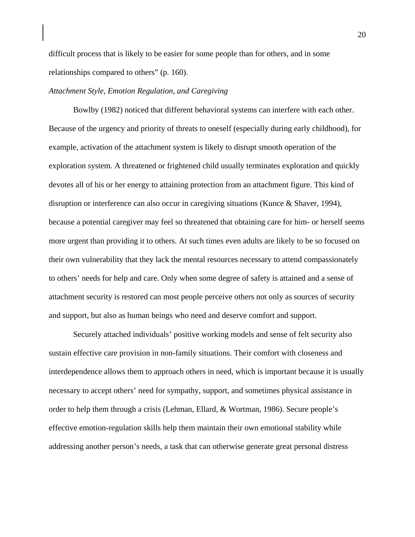difficult process that is likely to be easier for some people than for others, and in some relationships compared to others" (p. 160).

### *Attachment Style, Emotion Regulation, and Caregiving*

Bowlby (1982) noticed that different behavioral systems can interfere with each other. Because of the urgency and priority of threats to oneself (especially during early childhood), for example, activation of the attachment system is likely to disrupt smooth operation of the exploration system. A threatened or frightened child usually terminates exploration and quickly devotes all of his or her energy to attaining protection from an attachment figure. This kind of disruption or interference can also occur in caregiving situations (Kunce & Shaver, 1994), because a potential caregiver may feel so threatened that obtaining care for him- or herself seems more urgent than providing it to others. At such times even adults are likely to be so focused on their own vulnerability that they lack the mental resources necessary to attend compassionately to others' needs for help and care. Only when some degree of safety is attained and a sense of attachment security is restored can most people perceive others not only as sources of security and support, but also as human beings who need and deserve comfort and support.

Securely attached individuals' positive working models and sense of felt security also sustain effective care provision in non-family situations. Their comfort with closeness and interdependence allows them to approach others in need, which is important because it is usually necessary to accept others' need for sympathy, support, and sometimes physical assistance in order to help them through a crisis (Lehman, Ellard, & Wortman, 1986). Secure people's effective emotion-regulation skills help them maintain their own emotional stability while addressing another person's needs, a task that can otherwise generate great personal distress

20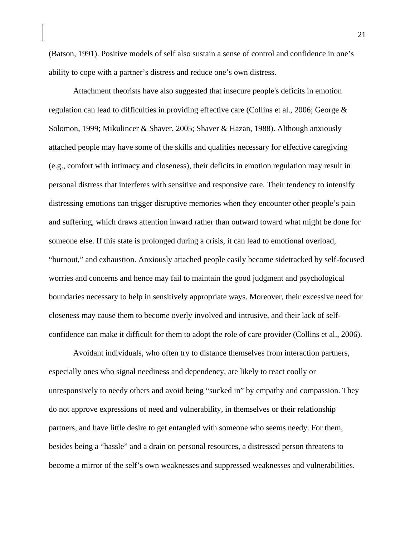(Batson, 1991). Positive models of self also sustain a sense of control and confidence in one's ability to cope with a partner's distress and reduce one's own distress.

Attachment theorists have also suggested that insecure people's deficits in emotion regulation can lead to difficulties in providing effective care (Collins et al., 2006; George & Solomon, 1999; Mikulincer & Shaver, 2005; Shaver & Hazan, 1988). Although anxiously attached people may have some of the skills and qualities necessary for effective caregiving (e.g., comfort with intimacy and closeness), their deficits in emotion regulation may result in personal distress that interferes with sensitive and responsive care. Their tendency to intensify distressing emotions can trigger disruptive memories when they encounter other people's pain and suffering, which draws attention inward rather than outward toward what might be done for someone else. If this state is prolonged during a crisis, it can lead to emotional overload, "burnout," and exhaustion. Anxiously attached people easily become sidetracked by self-focused worries and concerns and hence may fail to maintain the good judgment and psychological boundaries necessary to help in sensitively appropriate ways. Moreover, their excessive need for closeness may cause them to become overly involved and intrusive, and their lack of selfconfidence can make it difficult for them to adopt the role of care provider (Collins et al., 2006).

Avoidant individuals, who often try to distance themselves from interaction partners, especially ones who signal neediness and dependency, are likely to react coolly or unresponsively to needy others and avoid being "sucked in" by empathy and compassion. They do not approve expressions of need and vulnerability, in themselves or their relationship partners, and have little desire to get entangled with someone who seems needy. For them, besides being a "hassle" and a drain on personal resources, a distressed person threatens to become a mirror of the self's own weaknesses and suppressed weaknesses and vulnerabilities.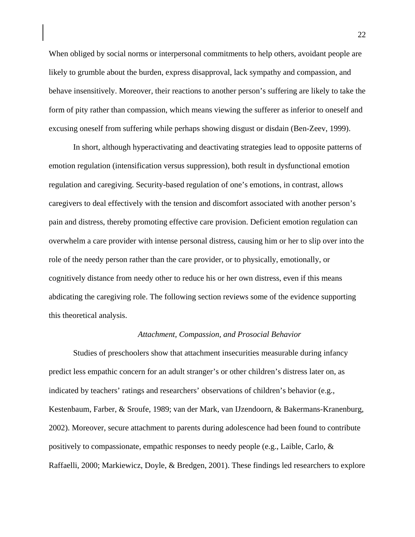When obliged by social norms or interpersonal commitments to help others, avoidant people are likely to grumble about the burden, express disapproval, lack sympathy and compassion, and behave insensitively. Moreover, their reactions to another person's suffering are likely to take the form of pity rather than compassion, which means viewing the sufferer as inferior to oneself and excusing oneself from suffering while perhaps showing disgust or disdain (Ben-Zeev, 1999).

In short, although hyperactivating and deactivating strategies lead to opposite patterns of emotion regulation (intensification versus suppression), both result in dysfunctional emotion regulation and caregiving. Security-based regulation of one's emotions, in contrast, allows caregivers to deal effectively with the tension and discomfort associated with another person's pain and distress, thereby promoting effective care provision. Deficient emotion regulation can overwhelm a care provider with intense personal distress, causing him or her to slip over into the role of the needy person rather than the care provider, or to physically, emotionally, or cognitively distance from needy other to reduce his or her own distress, even if this means abdicating the caregiving role. The following section reviews some of the evidence supporting this theoretical analysis.

## *Attachment, Compassion, and Prosocial Behavior*

Studies of preschoolers show that attachment insecurities measurable during infancy predict less empathic concern for an adult stranger's or other children's distress later on, as indicated by teachers' ratings and researchers' observations of children's behavior (e.g., Kestenbaum, Farber, & Sroufe, 1989; van der Mark, van IJzendoorn, & Bakermans-Kranenburg, 2002). Moreover, secure attachment to parents during adolescence had been found to contribute positively to compassionate, empathic responses to needy people (e.g., Laible, Carlo, & Raffaelli, 2000; Markiewicz, Doyle, & Bredgen, 2001). These findings led researchers to explore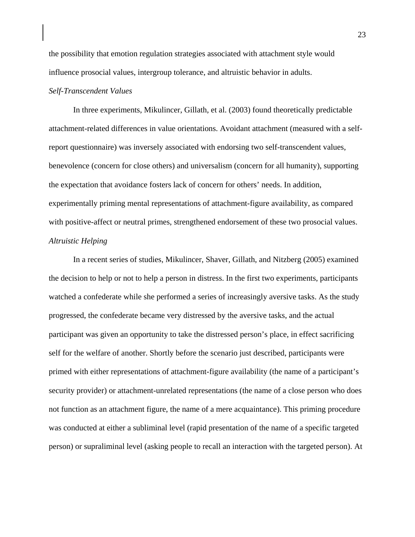the possibility that emotion regulation strategies associated with attachment style would influence prosocial values, intergroup tolerance, and altruistic behavior in adults.

# *Self-Transcendent Values*

In three experiments, Mikulincer, Gillath, et al. (2003) found theoretically predictable attachment-related differences in value orientations. Avoidant attachment (measured with a selfreport questionnaire) was inversely associated with endorsing two self-transcendent values, benevolence (concern for close others) and universalism (concern for all humanity), supporting the expectation that avoidance fosters lack of concern for others' needs. In addition, experimentally priming mental representations of attachment-figure availability, as compared with positive-affect or neutral primes, strengthened endorsement of these two prosocial values. *Altruistic Helping* 

In a recent series of studies, Mikulincer, Shaver, Gillath, and Nitzberg (2005) examined the decision to help or not to help a person in distress. In the first two experiments, participants watched a confederate while she performed a series of increasingly aversive tasks. As the study progressed, the confederate became very distressed by the aversive tasks, and the actual participant was given an opportunity to take the distressed person's place, in effect sacrificing self for the welfare of another. Shortly before the scenario just described, participants were primed with either representations of attachment-figure availability (the name of a participant's security provider) or attachment-unrelated representations (the name of a close person who does not function as an attachment figure, the name of a mere acquaintance). This priming procedure was conducted at either a subliminal level (rapid presentation of the name of a specific targeted person) or supraliminal level (asking people to recall an interaction with the targeted person). At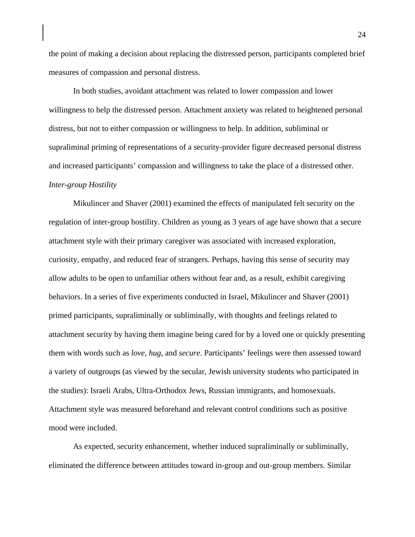the point of making a decision about replacing the distressed person, participants completed brief measures of compassion and personal distress.

In both studies, avoidant attachment was related to lower compassion and lower willingness to help the distressed person. Attachment anxiety was related to heightened personal distress, but not to either compassion or willingness to help. In addition, subliminal or supraliminal priming of representations of a security-provider figure decreased personal distress and increased participants' compassion and willingness to take the place of a distressed other. *Inter-group Hostility* 

Mikulincer and Shaver (2001) examined the effects of manipulated felt security on the regulation of inter-group hostility. Children as young as 3 years of age have shown that a secure attachment style with their primary caregiver was associated with increased exploration, curiosity, empathy, and reduced fear of strangers. Perhaps, having this sense of security may allow adults to be open to unfamiliar others without fear and, as a result, exhibit caregiving behaviors. In a series of five experiments conducted in Israel, Mikulincer and Shaver (2001) primed participants, supraliminally or subliminally, with thoughts and feelings related to attachment security by having them imagine being cared for by a loved one or quickly presenting them with words such as *love*, *hug*, and *secure*. Participants' feelings were then assessed toward a variety of outgroups (as viewed by the secular, Jewish university students who participated in the studies): Israeli Arabs, Ultra-Orthodox Jews, Russian immigrants, and homosexuals. Attachment style was measured beforehand and relevant control conditions such as positive mood were included.

As expected, security enhancement, whether induced supraliminally or subliminally, eliminated the difference between attitudes toward in-group and out-group members. Similar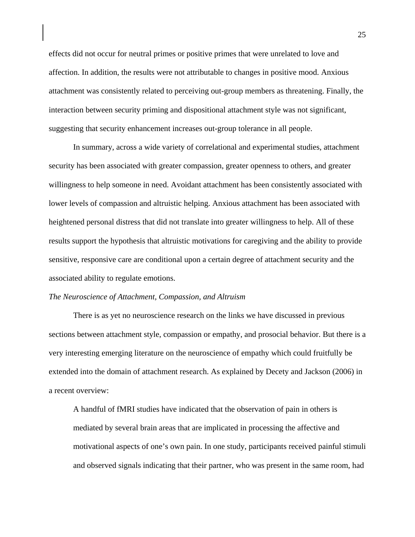effects did not occur for neutral primes or positive primes that were unrelated to love and affection. In addition, the results were not attributable to changes in positive mood. Anxious attachment was consistently related to perceiving out-group members as threatening. Finally, the interaction between security priming and dispositional attachment style was not significant, suggesting that security enhancement increases out-group tolerance in all people.

In summary, across a wide variety of correlational and experimental studies, attachment security has been associated with greater compassion, greater openness to others, and greater willingness to help someone in need. Avoidant attachment has been consistently associated with lower levels of compassion and altruistic helping. Anxious attachment has been associated with heightened personal distress that did not translate into greater willingness to help. All of these results support the hypothesis that altruistic motivations for caregiving and the ability to provide sensitive, responsive care are conditional upon a certain degree of attachment security and the associated ability to regulate emotions.

#### *The Neuroscience of Attachment, Compassion, and Altruism*

There is as yet no neuroscience research on the links we have discussed in previous sections between attachment style, compassion or empathy, and prosocial behavior. But there is a very interesting emerging literature on the neuroscience of empathy which could fruitfully be extended into the domain of attachment research. As explained by Decety and Jackson (2006) in a recent overview:

A handful of fMRI studies have indicated that the observation of pain in others is mediated by several brain areas that are implicated in processing the affective and motivational aspects of one's own pain. In one study, participants received painful stimuli and observed signals indicating that their partner, who was present in the same room, had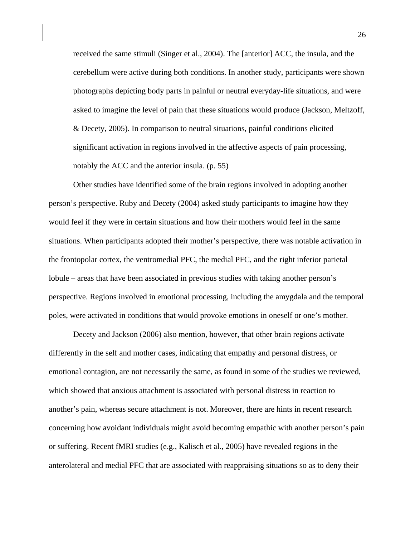received the same stimuli [\(Singer et al., 2004](javascript:popRef()). The [anterior] ACC, the insula, and the cerebellum were active during both conditions. In another study, participants were shown photographs depicting body parts in painful or neutral everyday-life situations, and were asked to imagine the level of pain that these situations would produce [\(Jackson, Meltzoff,](javascript:popRef()  [& Decety, 2005](javascript:popRef()). In comparison to neutral situations, painful conditions elicited significant activation in regions involved in the affective aspects of pain processing, notably the ACC and the anterior insula. (p. 55)

Other studies have identified some of the brain regions involved in adopting another person's perspective. Ruby and Decety (2004) asked study participants to imagine how they would feel if they were in certain situations and how their mothers would feel in the same situations. When participants adopted their mother's perspective, there was notable activation in the frontopolar cortex, the ventromedial PFC, the medial PFC, and the right inferior parietal lobule – areas that have been associated in previous studies with taking another person's perspective. Regions involved in emotional processing, including the amygdala and the temporal poles, were activated in conditions that would provoke emotions in oneself or one's mother.

Decety and Jackson (2006) also mention, however, that other brain regions activate differently in the self and mother cases, indicating that empathy and personal distress, or emotional contagion, are not necessarily the same, as found in some of the studies we reviewed, which showed that anxious attachment is associated with personal distress in reaction to another's pain, whereas secure attachment is not. Moreover, there are hints in recent research concerning how avoidant individuals might avoid becoming empathic with another person's pain or suffering. Recent fMRI studies (e.g., Kalisch et al., 2005) have revealed regions in the anterolateral and medial PFC that are associated with reappraising situations so as to deny their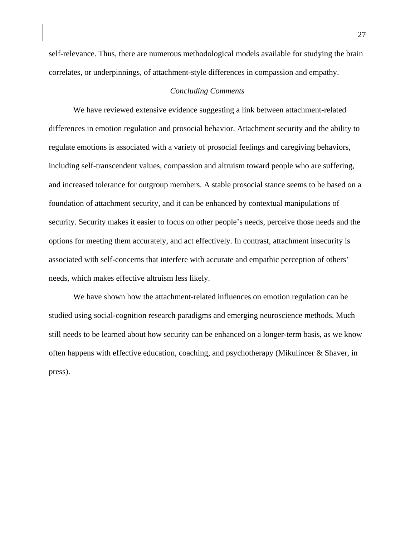self-relevance. Thus, there are numerous methodological models available for studying the brain correlates, or underpinnings, of attachment-style differences in compassion and empathy.

# *Concluding Comments*

We have reviewed extensive evidence suggesting a link between attachment-related differences in emotion regulation and prosocial behavior. Attachment security and the ability to regulate emotions is associated with a variety of prosocial feelings and caregiving behaviors, including self-transcendent values, compassion and altruism toward people who are suffering, and increased tolerance for outgroup members. A stable prosocial stance seems to be based on a foundation of attachment security, and it can be enhanced by contextual manipulations of security. Security makes it easier to focus on other people's needs, perceive those needs and the options for meeting them accurately, and act effectively. In contrast, attachment insecurity is associated with self-concerns that interfere with accurate and empathic perception of others' needs, which makes effective altruism less likely.

We have shown how the attachment-related influences on emotion regulation can be studied using social-cognition research paradigms and emerging neuroscience methods. Much still needs to be learned about how security can be enhanced on a longer-term basis, as we know often happens with effective education, coaching, and psychotherapy (Mikulincer & Shaver, in press).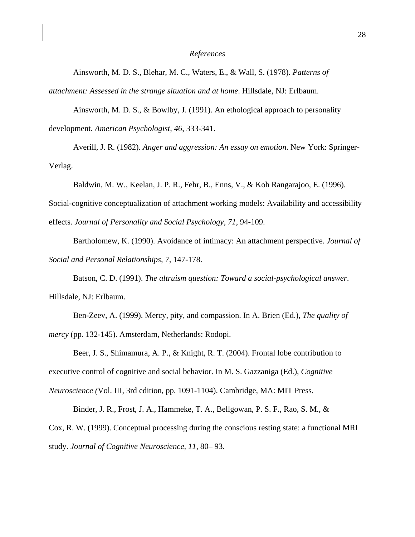#### *References*

Ainsworth, M. D. S., Blehar, M. C., Waters, E., & Wall, S. (1978). *Patterns of* 

*attachment: Assessed in the strange situation and at home*. Hillsdale, NJ: Erlbaum.

Ainsworth, M. D. S., & Bowlby, J. (1991). An ethological approach to personality development. *American Psychologist, 46*, 333-341.

Averill, J. R. (1982). *Anger and aggression: An essay on emotion*. New York: Springer-Verlag.

Baldwin, M. W., Keelan, J. P. R., Fehr, B., Enns, V., & Koh Rangarajoo, E. (1996).

Social-cognitive conceptualization of attachment working models: Availability and accessibility effects. *Journal of Personality and Social Psychology, 71*, 94-109.

Bartholomew, K. (1990). Avoidance of intimacy: An attachment perspective. *Journal of Social and Personal Relationships, 7*, 147-178.

Batson, C. D. (1991). *The altruism question: Toward a social-psychological answer*. Hillsdale, NJ: Erlbaum.

Ben-Zeev, A. (1999). Mercy, pity, and compassion. In A. Brien (Ed.), *The quality of mercy* (pp. 132-145). Amsterdam, Netherlands: Rodopi.

Beer, J. S., Shimamura, A. P., & Knight, R. T. (2004). Frontal lobe contribution to

executive control of cognitive and social behavior. In M. S. Gazzaniga (Ed.), *Cognitive* 

*Neuroscience (*Vol. III, 3rd edition, pp. 1091-1104). Cambridge, MA: MIT Press.

Binder, J. R., Frost, J. A., Hammeke, T. A., Bellgowan, P. S. F., Rao, S. M., &

Cox, R. W. (1999). Conceptual processing during the conscious resting state: a functional MRI study. *Journal of Cognitive Neuroscience, 11*, 80– 93.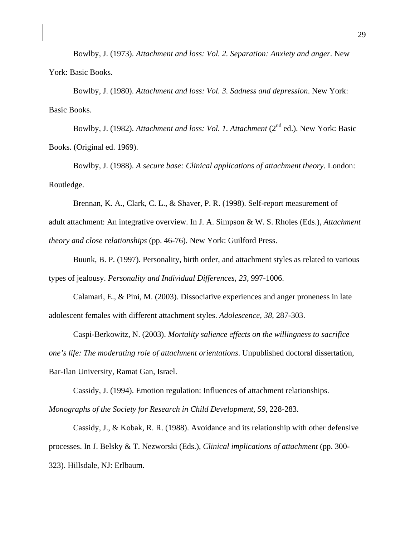Bowlby, J. (1973). *Attachment and loss: Vol. 2. Separation: Anxiety and anger*. New York: Basic Books.

Bowlby, J. (1980). *Attachment and loss: Vol. 3. Sadness and depression*. New York: Basic Books.

Bowlby, J. (1982). *Attachment and loss: Vol. 1. Attachment* (2<sup>nd</sup> ed.). New York: Basic Books. (Original ed. 1969).

Bowlby, J. (1988). *A secure base: Clinical applications of attachment theory*. London: Routledge.

Brennan, K. A., Clark, C. L., & Shaver, P. R. (1998). Self-report measurement of adult attachment: An integrative overview. In J. A. Simpson & W. S. Rholes (Eds.), *Attachment theory and close relationships* (pp. 46-76). New York: Guilford Press.

Buunk, B. P. (1997). Personality, birth order, and attachment styles as related to various types of jealousy. *Personality and Individual Differences, 23*, 997-1006.

Calamari, E., & Pini, M. (2003). Dissociative experiences and anger proneness in late adolescent females with different attachment styles. *Adolescence, 38*, 287-303.

Caspi-Berkowitz, N. (2003). *Mortality salience effects on the willingness to sacrifice one's life: The moderating role of attachment orientations*. Unpublished doctoral dissertation, Bar-Ilan University, Ramat Gan, Israel.

Cassidy, J. (1994). Emotion regulation: Influences of attachment relationships. *Monographs of the Society for Research in Child Development, 59*, 228-283.

Cassidy, J., & Kobak, R. R. (1988). Avoidance and its relationship with other defensive processes. In J. Belsky & T. Nezworski (Eds.), *Clinical implications of attachment* (pp. 300- 323). Hillsdale, NJ: Erlbaum.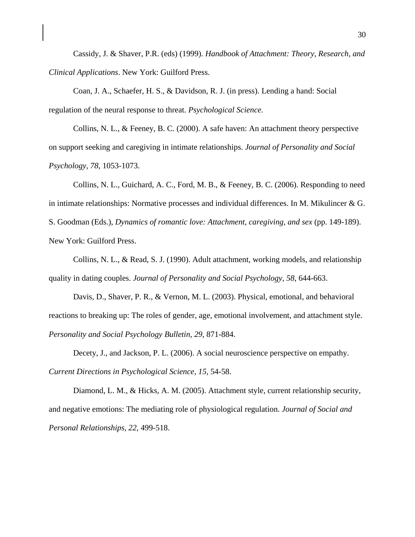Cassidy, J. & Shaver, P.R. (eds) (1999). *Handbook of Attachment: Theory, Research, and Clinical Applications*. New York: Guilford Press.

Coan, J. A., Schaefer, H. S., & Davidson, R. J. (in press). Lending a hand: Social regulation of the neural response to threat. *Psychological Science.*

Collins, N. L., & Feeney, B. C. (2000). A safe haven: An attachment theory perspective on support seeking and caregiving in intimate relationships. *Journal of Personality and Social Psychology, 78*, 1053-1073.

Collins, N. L., Guichard, A. C., Ford, M. B., & Feeney, B. C. (2006). Responding to need in intimate relationships: Normative processes and individual differences. In M. Mikulincer & G. S. Goodman (Eds.), *Dynamics of romantic love: Attachment, caregiving, and sex* (pp. 149-189). New York: Guilford Press.

Collins, N. L., & Read, S. J. (1990). Adult attachment, working models, and relationship quality in dating couples. *Journal of Personality and Social Psychology, 58*, 644-663.

Davis, D., Shaver, P. R., & Vernon, M. L. (2003). Physical, emotional, and behavioral reactions to breaking up: The roles of gender, age, emotional involvement, and attachment style. *Personality and Social Psychology Bulletin, 29*, 871-884.

Decety, J., and Jackson, P. L. (2006). A social neuroscience perspective on empathy. *Current Directions in Psychological Science, 15,* 54-58.

Diamond, L. M., & Hicks, A. M. (2005). Attachment style, current relationship security, and negative emotions: The mediating role of physiological regulation. *Journal of Social and Personal Relationships, 22*, 499-518.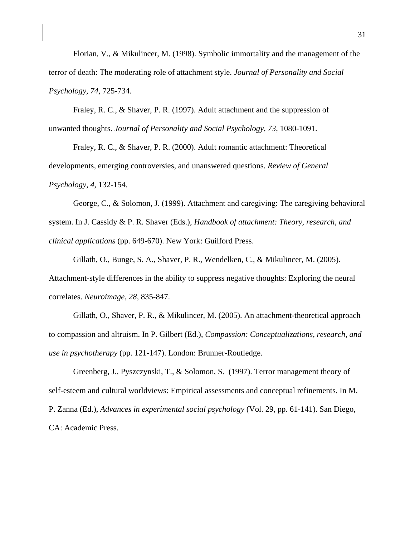Florian, V., & Mikulincer, M. (1998). Symbolic immortality and the management of the terror of death: The moderating role of attachment style. *Journal of Personality and Social Psychology, 74*, 725-734.

Fraley, R. C., & Shaver, P. R. (1997). Adult attachment and the suppression of unwanted thoughts. *Journal of Personality and Social Psychology, 73*, 1080-1091.

Fraley, R. C., & Shaver, P. R. (2000). Adult romantic attachment: Theoretical developments, emerging controversies, and unanswered questions. *Review of General Psychology, 4*, 132-154.

George, C., & Solomon, J. (1999). Attachment and caregiving: The caregiving behavioral system. In J. Cassidy & P. R. Shaver (Eds.), *Handbook of attachment: Theory, research, and clinical applications* (pp. 649-670). New York: Guilford Press.

Gillath, O., Bunge, S. A., Shaver, P. R., Wendelken, C., & Mikulincer, M. (2005). Attachment-style differences in the ability to suppress negative thoughts: Exploring the neural correlates. *Neuroimage*, *28,* 835-847.

Gillath, O., Shaver, P. R., & Mikulincer, M. (2005). An attachment-theoretical approach to compassion and altruism. In P. Gilbert (Ed.), *Compassion: Conceptualizations, research, and use in psychotherapy* (pp. 121-147). London: Brunner-Routledge.

Greenberg, J., Pyszczynski, T., & Solomon, S. (1997). Terror management theory of self-esteem and cultural worldviews: Empirical assessments and conceptual refinements. In M. P. Zanna (Ed.), *Advances in experimental social psychology* (Vol. 29, pp. 61-141). San Diego, CA: Academic Press.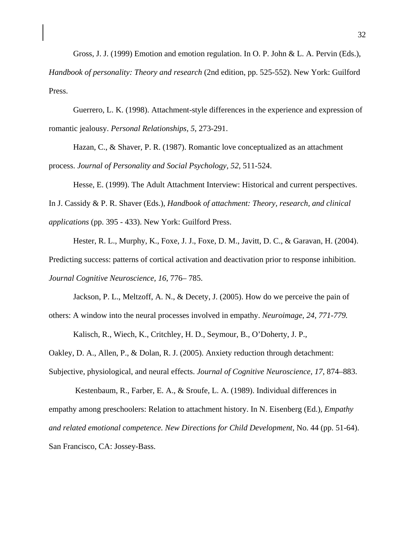Gross, J. J. (1999) Emotion and emotion regulation. In O. P. John & L. A. Pervin (Eds.),

*Handbook of personality: Theory and research* (2nd edition, pp. 525-552). New York: Guilford Press.

Guerrero, L. K. (1998). Attachment-style differences in the experience and expression of romantic jealousy. *Personal Relationships, 5*, 273-291.

Hazan, C., & Shaver, P. R. (1987). Romantic love conceptualized as an attachment process. *Journal of Personality and Social Psychology, 52*, 511-524.

Hesse, E. (1999). The Adult Attachment Interview: Historical and current perspectives. In J. Cassidy & P. R. Shaver (Eds.), *Handbook of attachment: Theory, research, and clinical applications* (pp. 395 - 433). New York: Guilford Press.

Hester, R. L., Murphy, K., Foxe, J. J., Foxe, D. M., Javitt, D. C., & Garavan, H. (2004). Predicting success: patterns of cortical activation and deactivation prior to response inhibition. *Journal Cognitive Neuroscience, 16*, 776– 785.

Jackson, P. L., Meltzoff, A. N., & Decety, J. (2005). How do we perceive the pain of others: A window into the neural processes involved in empathy. *Neuroimage, 24, 771-779.*

Kalisch, R., Wiech, K., Critchley, H. D., Seymour, B., O'Doherty, J. P.,

Oakley, D. A., Allen, P., & Dolan, R. J. (2005). Anxiety reduction through detachment: Subjective, physiological, and neural effects. *Journal of Cognitive Neuroscience, 17*, 874–883.

 Kestenbaum, R., Farber, E. A., & Sroufe, L. A. (1989). Individual differences in empathy among preschoolers: Relation to attachment history. In N. Eisenberg (Ed.), *Empathy and related emotional competence. New Directions for Child Development*, No. 44 (pp. 51-64). San Francisco, CA: Jossey-Bass.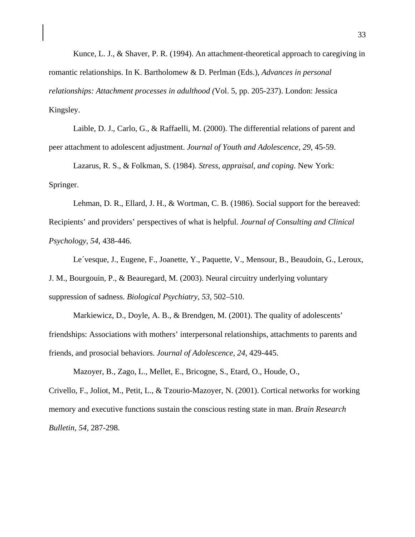Kunce, L. J., & Shaver, P. R. (1994). An attachment-theoretical approach to caregiving in romantic relationships. In K. Bartholomew & D. Perlman (Eds.), *Advances in personal relationships: Attachment processes in adulthood (*Vol. 5, pp. 205-237). London: Jessica Kingsley.

Laible, D. J., Carlo, G., & Raffaelli, M. (2000). The differential relations of parent and peer attachment to adolescent adjustment. *Journal of Youth and Adolescence, 29*, 45-59.

Lazarus, R. S., & Folkman, S. (1984). *Stress, appraisal, and coping*. New York: Springer.

Lehman, D. R., Ellard, J. H., & Wortman, C. B. (1986). Social support for the bereaved: Recipients' and providers' perspectives of what is helpful. *Journal of Consulting and Clinical Psychology, 54*, 438-446.

Le´vesque, J., Eugene, F., Joanette, Y., Paquette, V., Mensour, B., Beaudoin, G., Leroux, J. M., Bourgouin, P., & Beauregard, M. (2003). Neural circuitry underlying voluntary suppression of sadness. *Biological Psychiatry, 53,* 502–510.

Markiewicz, D., Doyle, A. B., & Brendgen, M. (2001). The quality of adolescents' friendships: Associations with mothers' interpersonal relationships, attachments to parents and friends, and prosocial behaviors. *Journal of Adolescence, 24*, 429-445.

Mazoyer, B., Zago, L., Mellet, E., Bricogne, S., Etard, O., Houde, O.,

Crivello, F., Joliot, M., Petit, L., & Tzourio-Mazoyer, N. (2001). Cortical networks for working memory and executive functions sustain the conscious resting state in man. *Brain Research Bulletin, 54*, 287-298.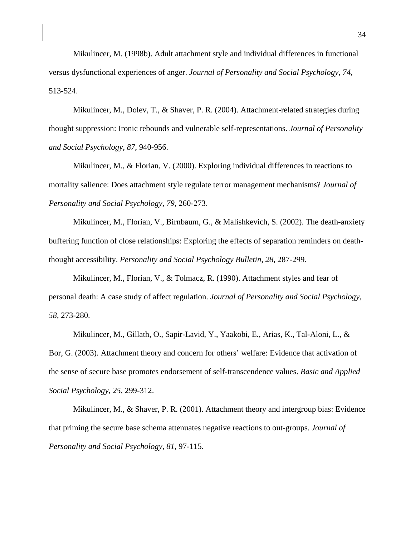Mikulincer, M. (1998b). Adult attachment style and individual differences in functional versus dysfunctional experiences of anger. *Journal of Personality and Social Psychology, 74*, 513-524.

Mikulincer, M., Dolev, T., & Shaver, P. R. (2004). Attachment-related strategies during thought suppression: Ironic rebounds and vulnerable self-representations. *Journal of Personality and Social Psychology, 87*, 940-956.

Mikulincer, M., & Florian, V. (2000). Exploring individual differences in reactions to mortality salience: Does attachment style regulate terror management mechanisms? *Journal of Personality and Social Psychology, 79*, 260-273.

Mikulincer, M., Florian, V., Birnbaum, G., & Malishkevich, S. (2002). The death-anxiety buffering function of close relationships: Exploring the effects of separation reminders on deaththought accessibility. *Personality and Social Psychology Bulletin, 28*, 287-299*.*

Mikulincer, M., Florian, V., & Tolmacz, R. (1990). Attachment styles and fear of personal death: A case study of affect regulation. *Journal of Personality and Social Psychology, 58*, 273-280.

Mikulincer, M., Gillath, O., Sapir-Lavid, Y., Yaakobi, E., Arias, K., Tal-Aloni, L., & Bor, G. (2003). Attachment theory and concern for others' welfare: Evidence that activation of the sense of secure base promotes endorsement of self-transcendence values. *Basic and Applied Social Psychology, 25*, 299-312.

Mikulincer, M., & Shaver, P. R. (2001). Attachment theory and intergroup bias: Evidence that priming the secure base schema attenuates negative reactions to out-groups. *Journal of Personality and Social Psychology, 81*, 97-115.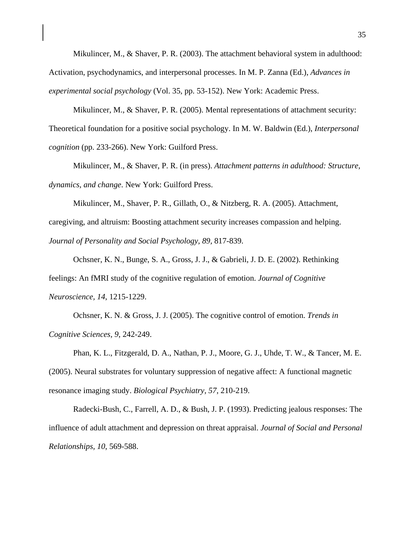Mikulincer, M., & Shaver, P. R. (2003). The attachment behavioral system in adulthood: Activation, psychodynamics, and interpersonal processes. In M. P. Zanna (Ed.), *Advances in experimental social psychology* (Vol. 35, pp. 53-152). New York: Academic Press.

Mikulincer, M., & Shaver, P. R. (2005). Mental representations of attachment security: Theoretical foundation for a positive social psychology. In M. W. Baldwin (Ed.), *Interpersonal cognition* (pp. 233-266). New York: Guilford Press.

Mikulincer, M., & Shaver, P. R. (in press). *Attachment patterns in adulthood: Structure, dynamics, and change*. New York: Guilford Press.

Mikulincer, M., Shaver, P. R., Gillath, O., & Nitzberg, R. A. (2005). Attachment, caregiving, and altruism: Boosting attachment security increases compassion and helping. *Journal of Personality and Social Psychology, 89,* 817-839.

Ochsner, K. N., Bunge, S. A., Gross, J. J., & Gabrieli, J. D. E. (2002). Rethinking feelings: An fMRI study of the cognitive regulation of emotion. *Journal of Cognitive Neuroscience, 14*, 1215-1229.

Ochsner, K. N. & Gross, J. J. (2005). The cognitive control of emotion. *Trends in Cognitive Sciences, 9*, 242-249.

Phan, K. L., Fitzgerald, D. A., Nathan, P. J., Moore, G. J., Uhde, T. W., & Tancer, M. E. (2005). Neural substrates for voluntary suppression of negative affect: A functional magnetic resonance imaging study. *Biological Psychiatry, 57*, 210-219.

Radecki-Bush, C., Farrell, A. D., & Bush, J. P. (1993). Predicting jealous responses: The influence of adult attachment and depression on threat appraisal. *Journal of Social and Personal Relationships, 10*, 569-588.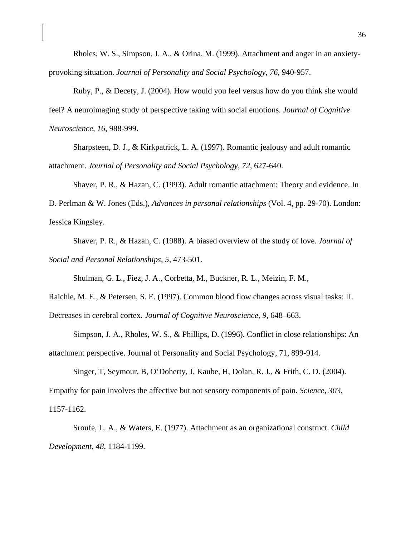Rholes, W. S., Simpson, J. A., & Orina, M. (1999). Attachment and anger in an anxietyprovoking situation. *Journal of Personality and Social Psychology, 76*, 940-957.

Ruby, P., & Decety, J. (2004). How would you feel versus how do you think she would feel? A neuroimaging study of perspective taking with social emotions. *Journal of Cognitive Neuroscience, 16*, 988-999.

Sharpsteen, D. J., & Kirkpatrick, L. A. (1997). Romantic jealousy and adult romantic attachment. *Journal of Personality and Social Psychology, 72*, 627-640.

Shaver, P. R., & Hazan, C. (1993). Adult romantic attachment: Theory and evidence. In D. Perlman & W. Jones (Eds.), *Advances in personal relationships* (Vol. 4, pp. 29-70). London: Jessica Kingsley.

Shaver, P. R., & Hazan, C. (1988). A biased overview of the study of love. *Journal of Social and Personal Relationships*, *5*, 473-501.

Shulman, G. L., Fiez, J. A., Corbetta, M., Buckner, R. L., Meizin, F. M.,

Raichle, M. E., & Petersen, S. E. (1997). Common blood flow changes across visual tasks: II. Decreases in cerebral cortex. *Journal of Cognitive Neuroscience, 9*, 648–663.

Simpson, J. A., Rholes, W. S., & Phillips, D. (1996). Conflict in close relationships: An attachment perspective. Journal of Personality and Social Psychology, 71, 899-914.

Singer, T, Seymour, B, O'Doherty, J, Kaube, H, Dolan, R. J., & Frith, C. D. (2004). Empathy for pain involves the affective but not sensory components of pain. *Science*, *303*, 1157-1162.

Sroufe, L. A., & Waters, E. (1977). Attachment as an organizational construct. *Child Development, 48*, 1184-1199.